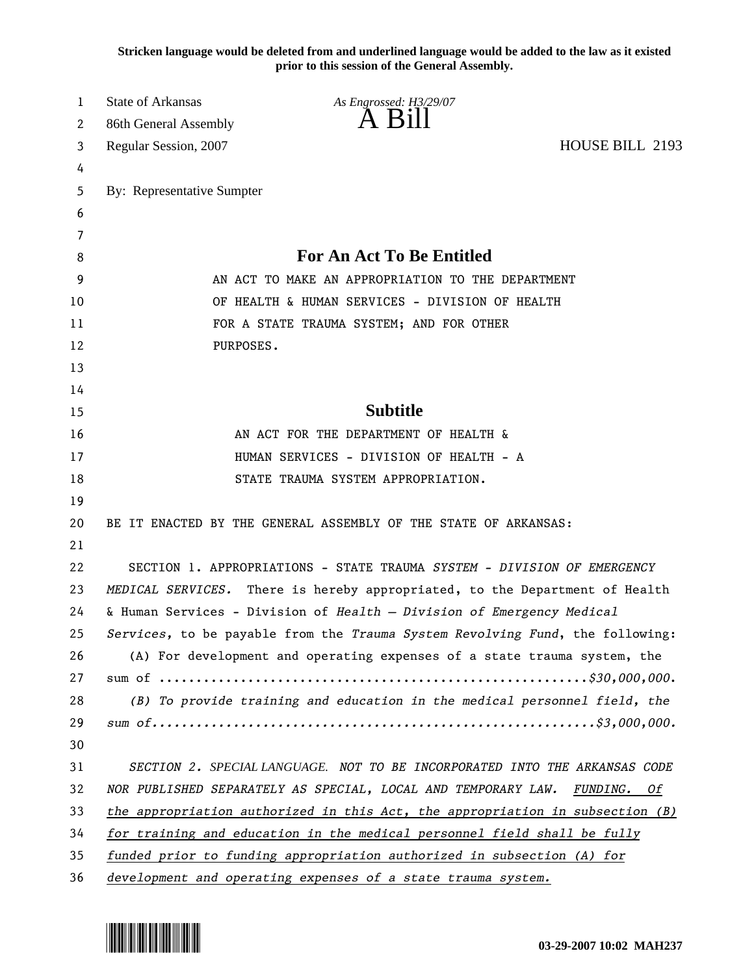**Stricken language would be deleted from and underlined language would be added to the law as it existed prior to this session of the General Assembly.**

| 1  | <b>State of Arkansas</b>   | As Engrossed: H3/29/07                                                             |                 |
|----|----------------------------|------------------------------------------------------------------------------------|-----------------|
| 2  | 86th General Assembly      | $A$ $B1II$                                                                         |                 |
| 3  | Regular Session, 2007      |                                                                                    | HOUSE BILL 2193 |
| 4  |                            |                                                                                    |                 |
| 5  | By: Representative Sumpter |                                                                                    |                 |
| 6  |                            |                                                                                    |                 |
| 7  |                            |                                                                                    |                 |
| 8  |                            | <b>For An Act To Be Entitled</b>                                                   |                 |
| 9  |                            | AN ACT TO MAKE AN APPROPRIATION TO THE DEPARTMENT                                  |                 |
| 10 |                            | OF HEALTH & HUMAN SERVICES - DIVISION OF HEALTH                                    |                 |
| 11 |                            | FOR A STATE TRAUMA SYSTEM; AND FOR OTHER                                           |                 |
| 12 | PURPOSES.                  |                                                                                    |                 |
| 13 |                            |                                                                                    |                 |
| 14 |                            |                                                                                    |                 |
| 15 |                            | <b>Subtitle</b>                                                                    |                 |
| 16 |                            | AN ACT FOR THE DEPARTMENT OF HEALTH &                                              |                 |
| 17 |                            | HUMAN SERVICES - DIVISION OF HEALTH - A                                            |                 |
| 18 |                            | STATE TRAUMA SYSTEM APPROPRIATION.                                                 |                 |
| 19 |                            |                                                                                    |                 |
| 20 |                            | BE IT ENACTED BY THE GENERAL ASSEMBLY OF THE STATE OF ARKANSAS:                    |                 |
| 21 |                            |                                                                                    |                 |
| 22 |                            | SECTION 1. APPROPRIATIONS - STATE TRAUMA SYSTEM - DIVISION OF EMERGENCY            |                 |
| 23 |                            | MEDICAL SERVICES. There is hereby appropriated, to the Department of Health        |                 |
| 24 |                            | & Human Services - Division of Health - Division of Emergency Medical              |                 |
| 25 |                            | Services, to be payable from the Trauma System Revolving Fund, the following:      |                 |
| 26 |                            | (A) For development and operating expenses of a state trauma system, the           |                 |
| 27 |                            |                                                                                    |                 |
| 28 |                            | (B) To provide training and education in the medical personnel field, the          |                 |
| 29 |                            |                                                                                    |                 |
| 30 |                            |                                                                                    |                 |
| 31 |                            | SECTION 2. SPECIAL LANGUAGE. NOT TO BE INCORPORATED INTO THE ARKANSAS CODE         |                 |
| 32 |                            | NOR PUBLISHED SEPARATELY AS SPECIAL, LOCAL AND TEMPORARY LAW. FUNDING. Of          |                 |
| 33 |                            | the appropriation authorized in this $Act$ , the appropriation in subsection $(B)$ |                 |
| 34 |                            | for training and education in the medical personnel field shall be fully           |                 |
| 35 |                            | funded prior to funding appropriation authorized in subsection (A) for             |                 |
| 36 |                            | development and operating expenses of a state trauma system.                       |                 |

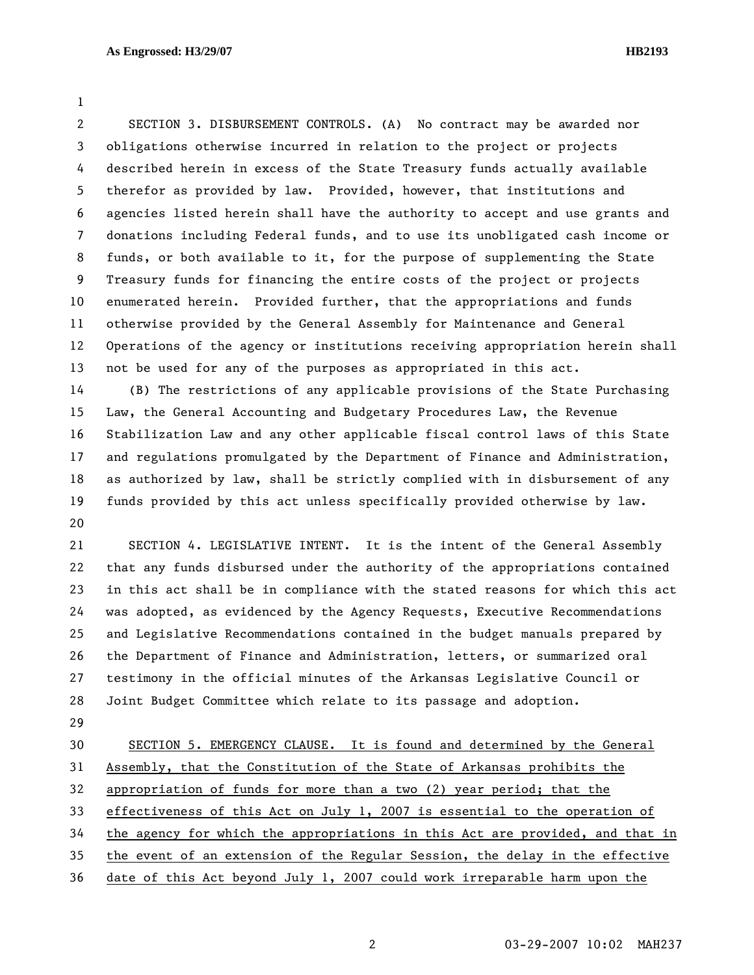1

2 SECTION 3. DISBURSEMENT CONTROLS. (A) No contract may be awarded nor 3 obligations otherwise incurred in relation to the project or projects 4 described herein in excess of the State Treasury funds actually available 5 therefor as provided by law. Provided, however, that institutions and 6 agencies listed herein shall have the authority to accept and use grants and 7 donations including Federal funds, and to use its unobligated cash income or 8 funds, or both available to it, for the purpose of supplementing the State 9 Treasury funds for financing the entire costs of the project or projects 10 enumerated herein. Provided further, that the appropriations and funds 11 otherwise provided by the General Assembly for Maintenance and General 12 Operations of the agency or institutions receiving appropriation herein shall 13 not be used for any of the purposes as appropriated in this act.

14 (B) The restrictions of any applicable provisions of the State Purchasing 15 Law, the General Accounting and Budgetary Procedures Law, the Revenue 16 Stabilization Law and any other applicable fiscal control laws of this State 17 and regulations promulgated by the Department of Finance and Administration, 18 as authorized by law, shall be strictly complied with in disbursement of any 19 funds provided by this act unless specifically provided otherwise by law. 20

21 SECTION 4. LEGISLATIVE INTENT. It is the intent of the General Assembly 22 that any funds disbursed under the authority of the appropriations contained 23 in this act shall be in compliance with the stated reasons for which this act 24 was adopted, as evidenced by the Agency Requests, Executive Recommendations 25 and Legislative Recommendations contained in the budget manuals prepared by 26 the Department of Finance and Administration, letters, or summarized oral 27 testimony in the official minutes of the Arkansas Legislative Council or 28 Joint Budget Committee which relate to its passage and adoption.

29

30 SECTION 5. EMERGENCY CLAUSE. It is found and determined by the General 31 Assembly, that the Constitution of the State of Arkansas prohibits the 32 appropriation of funds for more than a two (2) year period; that the 33 effectiveness of this Act on July 1, 2007 is essential to the operation of 34 the agency for which the appropriations in this Act are provided, and that in 35 the event of an extension of the Regular Session, the delay in the effective 36 date of this Act beyond July 1, 2007 could work irreparable harm upon the